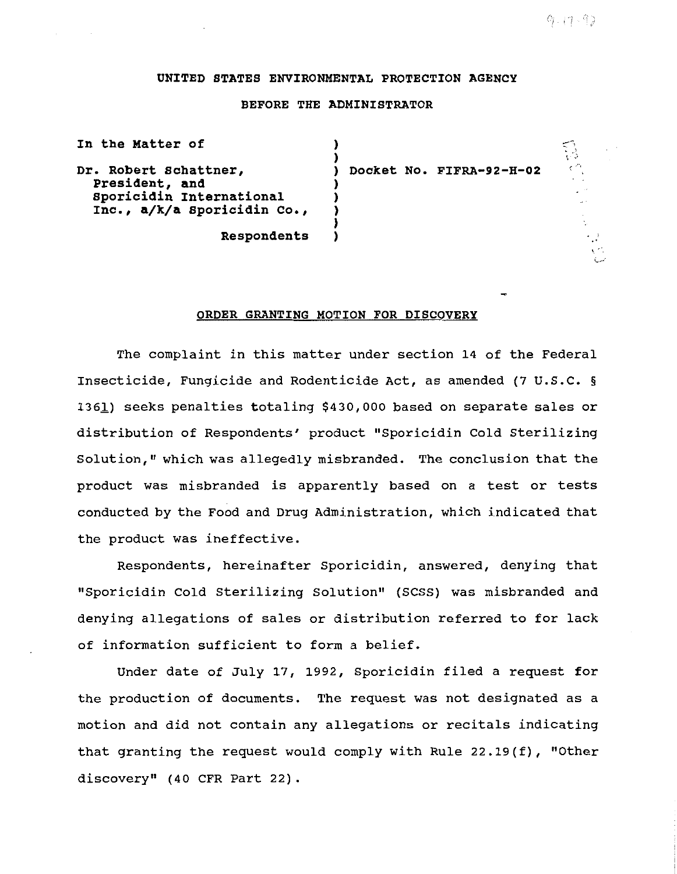# UNITED STATES ENVIRONMENTAL PROTECTION AGENCY

# BEFORE THE ADMINISTRATOR

| In the Matter of                                                                                   |                          |     |
|----------------------------------------------------------------------------------------------------|--------------------------|-----|
| Dr. Robert Schattner,<br>President, and<br>Sporicidin International<br>Inc., a/k/a Sporicidin Co., | Docket No. FIFRA-92-H-02 | ہ ج |
| Respondents                                                                                        |                          |     |

#### ORDER GRANTING MOTION FOR DISCOVERY

The complaint in this matter under section 14 of the Federal Insecticide, Fungicide and Rodenticide Act, as amended (7 u.s.c. § 136l) seeks penalties totaling \$430,000 based on separate sales or distribution of Respondents' product "Sporicidin Cold Sterilizing Solution," which was allegedly misbranded. The conclusion that the product was misbranded is apparently based on a test or tests conducted by the Food and Drug Administration, which indicated that the product was ineffective.

Respondents, hereinafter Sporicidin, answered, denying that "Sporicidin Cold Sterilizing Solution'' (SCSS) was misbranded and denying allegations of sales or distribution referred to for lack of information sufficient to form a belief.

Under date of July 17, 1992, Sporicidin filed a request for the production of documents. The request was not designated as a motion and did not contain any allegations or recitals indicating that granting the request would comply with Rule 22.19(f), "Other discovery" (40 CFR Part 22).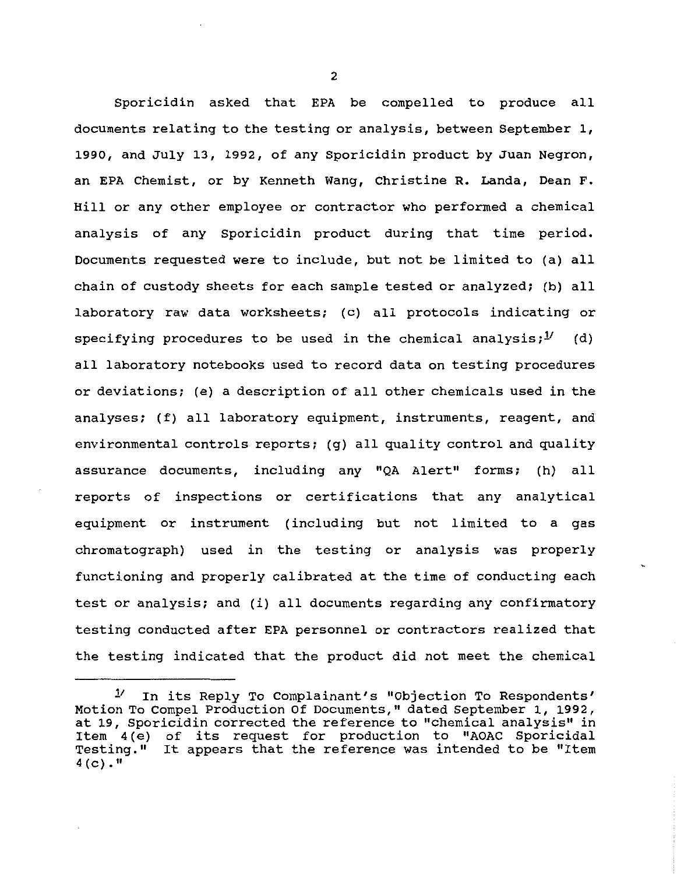Sporicidin asked that EPA be compelled to produce all documents relating to the testing or analysis, between September 1, 1990, and July 13, 1992, of any Sporicidin product by Juan Negron, an EPA Chemist, or by Kenneth Wang, Christine R. Landa, Dean F. Hill or any other employee or contractor who performed a chemical analysis of any Sporicidin product during that time period. Documents requested were to include, but not be limited to (a) all chain of custody sheets for each sample tested or analyzed; (b) all laboratory raw data worksheets; (c) all protocols indicating or specifying procedures to be used in the chemical analysis; $1/$  (d) all laboratory notebooks used to record data on testing procedures or deviations; (e) a description of all other chemicals used in the analyses; (f) all laboratory equipment, instruments, reagent, and environmental controls reports; (g) all quality control and quality assurance documents, including any "QA Alert" forms; (h) all reports of inspections or certifications that any analytical equipment or instrument (including but not limited to a gas chromatograph) used in the testing or analysis was properly functioning and properly calibrated at the time of conducting each test or analysis; and (i) all documents regarding any confirmatory testing conducted after EPA personnel or contractors realized that the testing indicated that the product did not meet the chemical

*<sup>V</sup>*In its Reply To Complainant's "Objection To Respondents' Motion To Compel Production Of Documents," dated September 1, 1992, at 19, Sporicidin corrected the reference to "chemical analysis" in Item 4 (e) of its request for production to "AOAC Sporicidal Testing." It appears that the reference was intended to be "Item  $4(c)$ ."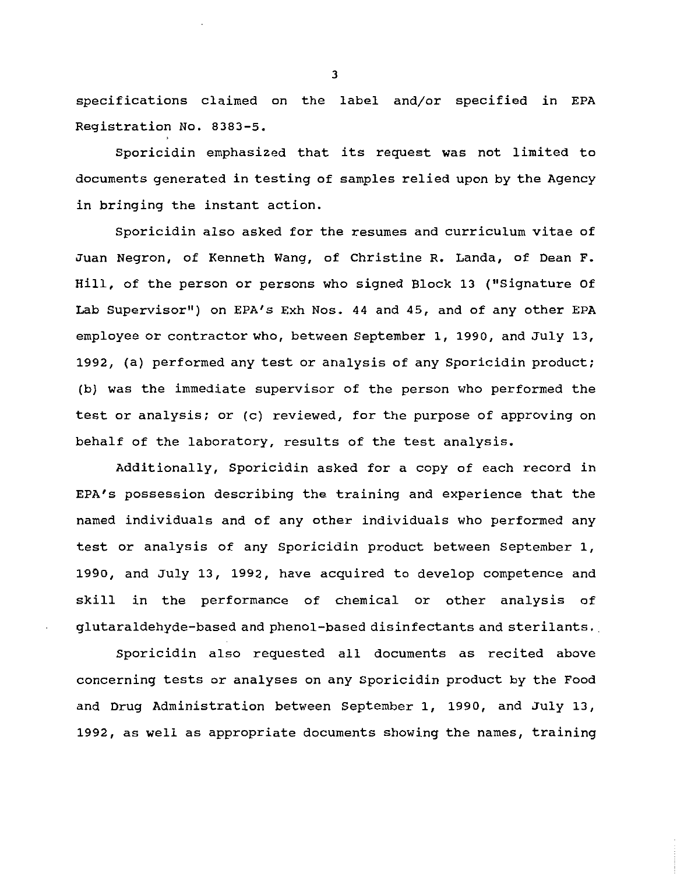specifications claimed on the label and/or specified in EPA Registration No. 8383-5.

Sporicidin emphasized that its request was not limited to documents generated in testing of samples relied upon by the Agency in bringing the instant action.

Sporicidin also asked for the resumes and curriculum vitae of Juan Negron, of Kenneth Wang, of Christine R. Landa, of Dean F. Hill, of the person or persons who signed Block 13 ("Signature Of Lab Supervisor") on EPA's Exh Nos. 44 and 45, and of any other EPA employee or contractor who, between September 1, 1990, and July 13, 1992, (a) performed any test or analysis of any Sporicidin product; (b) was the immediate supervisor of the person who performed the test or analysis; or (c) reviewed, for the purpose of approving on behalf of the laboratory, results of the test analysis.

Additionally, Sporicidin asked for a copy of each record in EPA's possession describing the training and experience that the named individuals and of any other individuals who performed any test or analysis of any Sporicidin product between September 1, 1990, and July 13, 1992, have acquired to develop competence and skill in the performance of chemical or other analysis of glutaraldehyde-based and phenol-based disinfectants and sterilants ..

Sporicidin also requested all documents as recited above concerning tests or analyses on any Sporicidin product by the Food and Drug Administration between September 1, 1990, and July 13, 1992, as well as appropriate documents showing the names, training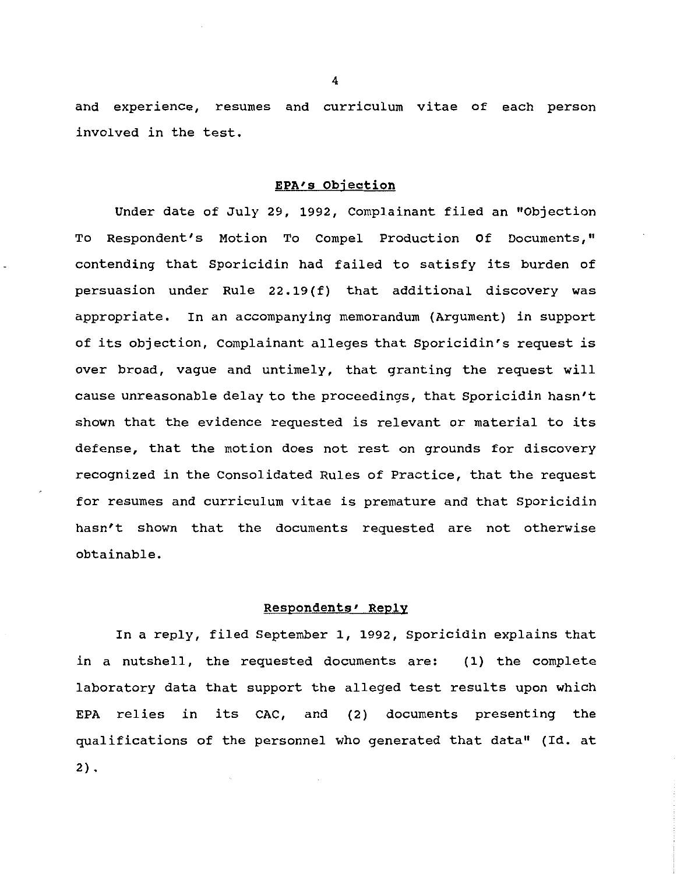and experience, resumes and curriculum vitae of each person involved in the test.

#### EPA'S Objection

Under date of July 29, 1992, Complainant filed an "Objection To Respondent's Motion To Compel Production Of Documents," contending that Sporicidin had failed to satisfy its burden of persuasion under Rule 22.19(f) that additional discovery was appropriate. In an accompanying memorandum {Argument) in support of its objection, Complainant alleges that Sporicidin's request is over broad, vague and untimely, that granting the request will cause unreasonable delay to the proceedings, that Sporicidin hasn't shown that the evidence requested is relevant or material to its defense, that the motion does not rest on grounds for discovery recognized in the Consolidated Rules of Practice, that the request for resumes and curriculum vitae is premature and that Sporicidin hasn't shown that the documents requested are not otherwise obtainable.

### Respondents' Reply

In a reply, filed September 1, 1992, Sporicidin explains that in a nutshell, the requested documents are: (1) the complete laboratory data that support the alleged test results upon which EPA relies in its CAC, and (2) documents presenting the qualifications of the personnel who generated that data" (Id. at  $2)$ .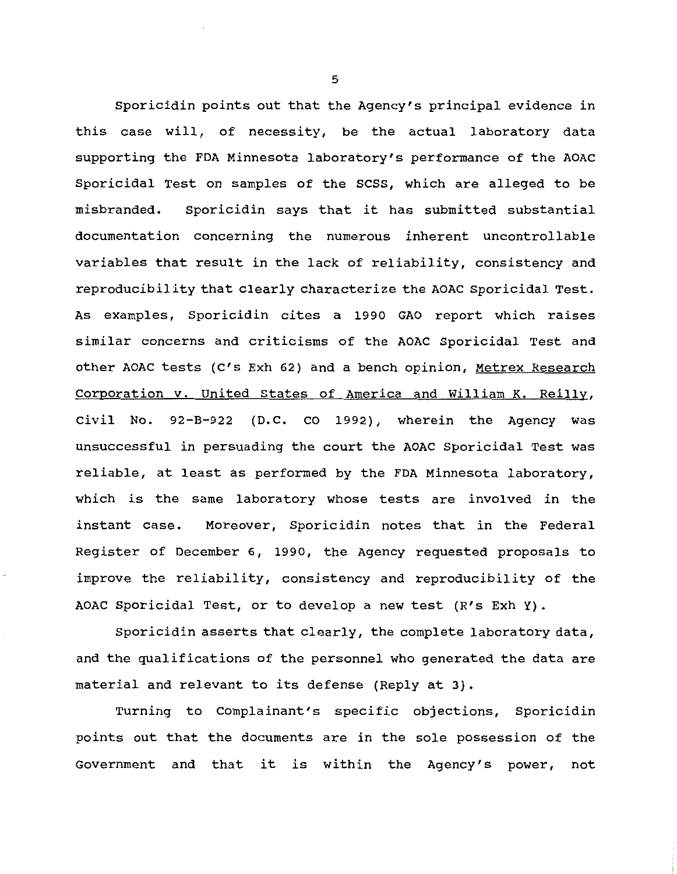Sporicidin points out that the Agency's principal evidence in this case will, of necessity, be the actual laboratory data supporting the FDA Minnesota laboratory's performance of the AOAC Sporicidal Test on samples of the scss, which are alleged to be misbranded. Sporicidin says that it has submitted substantial documentation concerning the numerous inherent uncontrollable variables that result in the lack of reliability, consistency and reproducibility that clearly characterize the AOAC Sporicidal Test. As examples, Sporicidin cites a 1990 GAO report which raises similar concerns and criticisms of the AOAC Sporicidal Test and other AOAC tests (C's Exh 62) and a bench opinion, Metrex Research corporation v. United states of America and William K. Reilly, Civil No. 92-B-922 (D.C. CO 1992), wherein the Agency was unsuccessful in persuading the court the AOAC Sporicidal Test was reliable, at least as performed by the FDA Minnesota laboratory, which is the same laboratory whose tests are involved in the instant case. Moreover, Sporicidin notes that in the Federal Register of December 6, 1990, the Agency requested proposals to improve the reliability, consistency and reproducibility of the AOAC Sporicidal Test, or to develop a new test (R's Exh Y).

Sporicidin asserts that clearly, the complete laboratory data, and the qualifications of the personnel who generated the data are material and relevant to its defense (Reply at 3).

Turning to Complainant's specific objections, Sporicidin points out that the documents are in the sole possession of the Government and that it is within the Agency's power, not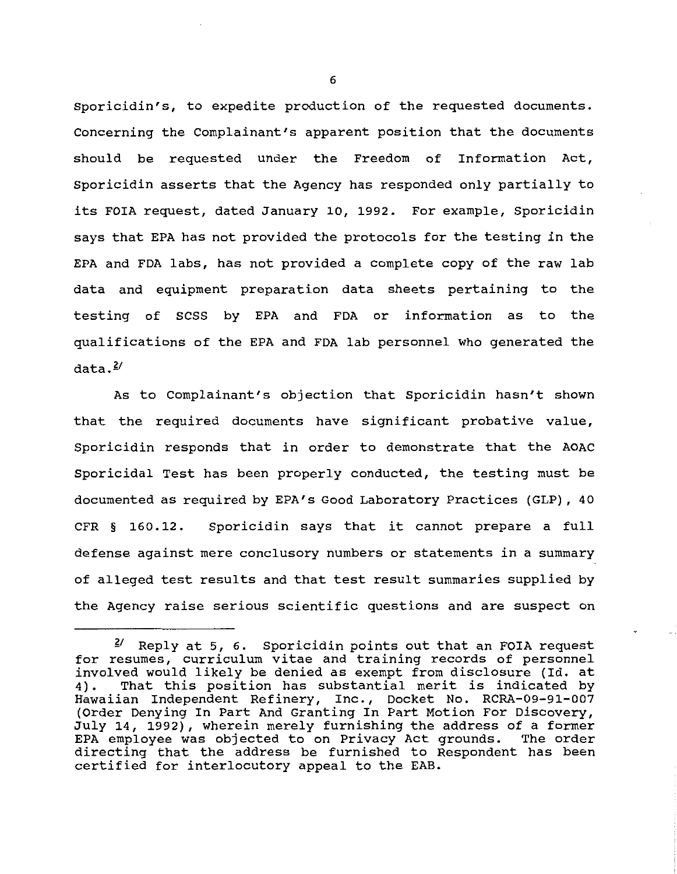Sporicidin's, to expedite production of the requested documents. Concerning the Complainant's apparent position that the documents should be requested under the Freedom of Information Act, Sporicidin asserts that the Agency has responded only partially to its FOIA request, dated January 10, 1992. For example, Sporicidin says that EPA has not provided the protocols for the testing in the EPA and FDA labs, has not provided a complete copy of the raw lab data and equipment preparation data sheets pertaining to the testing of SCSS by EPA and FDA or information as to the qualifications of the EPA and FDA lab personnel who generated the data. $\frac{2}{3}$ 

As to Complainant's objection that Sporicidin hasn't shown that the required documents have significant probative value, Sporicidin responds that in order to demonstrate that the AOAC Sporicidal Test has been properly conducted, the testing must be documented as required by EPA's Good Laboratory Practices (GLP), 40 CFR § 160. 12. Sporicidin says that it cannot prepare a full defense against mere conclusory numbers or statements in a summary of alleged test results and that test result summaries supplied by the Agency raise serious scientific questions and are suspect on

 $2^{\prime}$  Reply at 5, 6. Sporicidin points out that an FOIA request for resumes, curriculum vitae and training records of personnel involved would likely be denied as exempt from disclosure (Id. at<br>4). That this position has substantial merit is indicated by That this position has substantial merit is indicated by Hawaiian Independent Refinery, Inc., Docket No. RCRA-09-91-007 (Order Denying In Part And Granting In Part Motion For Discovery, July 14, 1992), wherein merely furnishing the address of a former EPA employee was objected to on Privacy Act grounds. directing that the address be furnished to Respondent has been certified for interlocutory appeal to the EAB.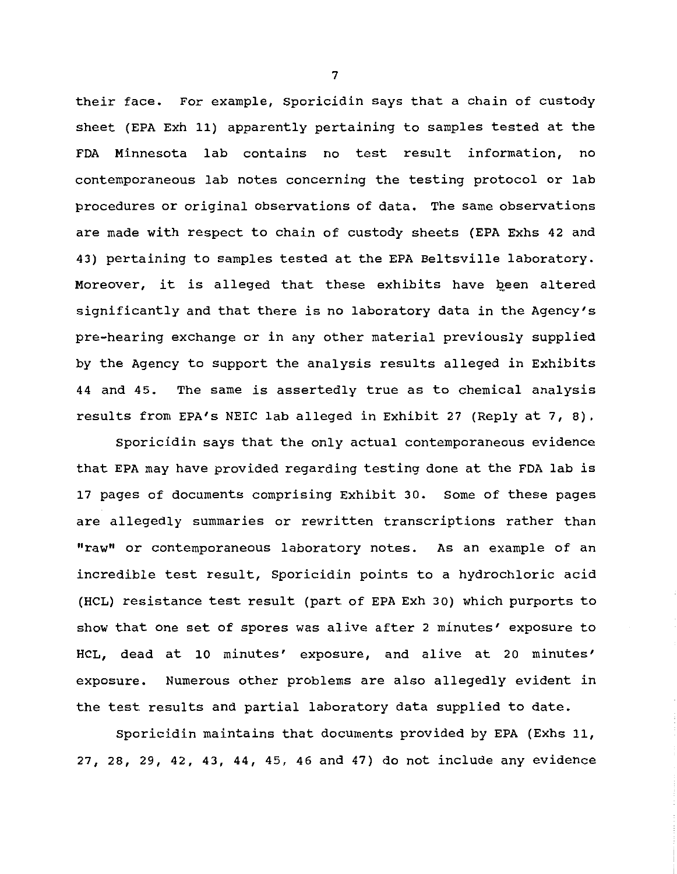their face. For example, Sporicidin says that a chain of custody sheet (EPA Exh 11) apparently pertaining to samples tested at the FDA Minnesota lab contains no test result information, no contemporaneous lab notes concerning the testing protocol or lab procedures or original observations of data. The same observations are made with respect to chain of custody sheets (EPA Exhs 42 and 43) pertaining to samples tested at the EPA Beltsville laboratory. Moreover, it is alleged that these exhibits have been altered significantly and that there is no laboratory data in the Agency's pre-hearing exchange or in any other material previously supplied by the Agency to support the analysis results alleged in Exhibits 44 and 45. The same is assertedly true as to chemical analysis results from EPA's NEIC lab alleged in Exhibit 27 (Reply at 7, 8).

Sporicidin says that the only actual contemporaneous evidence that EPA may have provided regarding testing done at the FDA lab is 17 pages of documents comprising Exhibit 30. Some of these pages are allegedly summaries or rewritten transcriptions rather than "raw" or contemporaneous laboratory notes. As an example of an incredible test result, Sporicidin points to a hydrochloric acid (HCL) resistance test result (part of EPA Exh 30) which purports to show that one set of spores was alive after 2 minutes' exposure to HCL, dead at 10 minutes' exposure, and alive at 20 minutes' exposure. Numerous other problems are also allegedly evident in the test results and partial laboratory data supplied to date.

Sporicidin maintains that documents provided by EPA (Exhs 11, 27, 28, 29, 42, 43, 44, 45, 46 and 47) do not include any evidence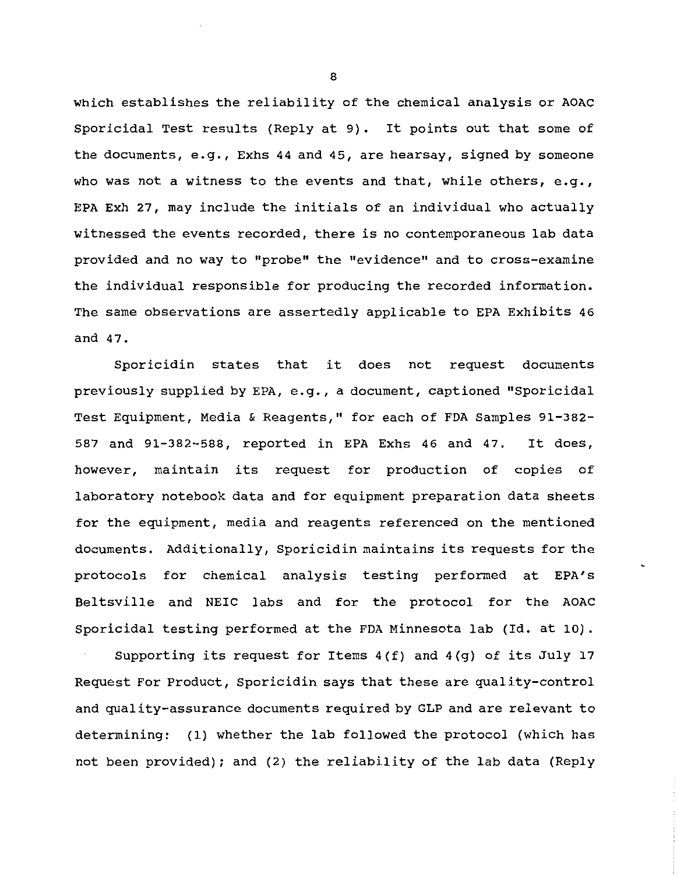which establishes the reliability of the chemical analysis or AOAC Sporicidal Test results (Reply at 9). It points out that some of the documents, e.g., Exhs 44 and 45, are hearsay, signed by someone who was not a witness to the events and that, while others, e.g., EPA Exh 27, may include the initials of an individual who actually witnessed the events recorded, there is no contemporaneous lab data provided and no way to "probe" the "evidence" and to cross-examine the individual responsible for producing the recorded information. The same observations are assertedly applicable to EPA Exhibits 46 and 47.

Sporicidin states that it does not request documents previously supplied by EPA, e.g., a document, captioned "Sporicidal Test Equipment, Media & Reagents," for each of FDA Samples 91-382- 587 and 91-382-588, reported in EPA Exhs 46 and 47. It does, however, maintain its request for production of copies of laboratory notebook data and for equipment preparation data sheets for the equipment, media and reagents referenced on the mentioned documents. Additionally, Sporicidin maintains its requests for the protocols for chemical analysis testing performed at EPA's Beltsville and NEIC labs and for the protocol for the AOAC Sporicidal testing performed at the FDA Minnesota lab (Id. at 10).

Supporting its request for Items 4(f) and 4(g) of its July 17 Request For Product, Sporicidin says that these are quality-control and quality-assurance documents required by GLP and are relevant to determining: (1) whether the lab followed the protocol (which has not been provided); and (2) the reliability of the lab data (Reply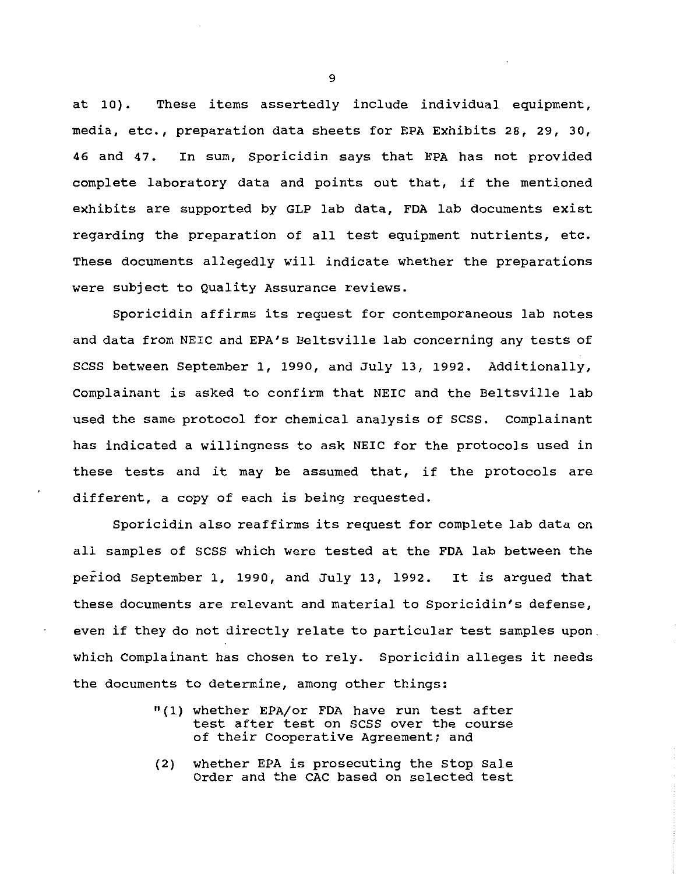at 10). These items assertedly include individual equipment, media, etc., preparation data sheets for EPA Exhibits 28, 29, 30, 46 and 47. In sum, Sporicidin says that EPA has not provided complete laboratory data and points out that, if the mentioned exhibits are supported by GLP lab data, FDA lab documents exist regarding the preparation of all test equipment nutrients, etc. These documents allegedly will indicate whether the preparations were subject to Quality Assurance reviews.

Sporicidin affirms its request for contemporaneous lab notes and data from NEIC and EPA's Beltsville lab concerning any tests of SCSS between September 1, 1990, and July 13, 1992. Additionally, Complainant is asked to confirm that NEIC and the Beltsville lab used the same protocol for chemical analysis of scss. Complainant has indicated a willingness to ask NEIC for the protocols used in these tests and it may be assumed that, if the protocols are different, a copy of each is being requested.

Sporicidin also reaffirms its request for complete lab data on all samples of scss which were tested at the FDA lab between the period September 1, 1990, and July 13, 1992. It is argued that these documents are relevant and material to Sporicidin's defense, even if they do not directly relate to particular test samples upon which Complainant has chosen to rely. Sporicidin alleges it needs the documents to determine, among other things:

- "(1) whether EPA/or FDA have run test after test after test on scss over the course of their Cooperative Agreement; and
- (2) whether EPA is prosecuting the stop Sale Order and the CAC based on selected test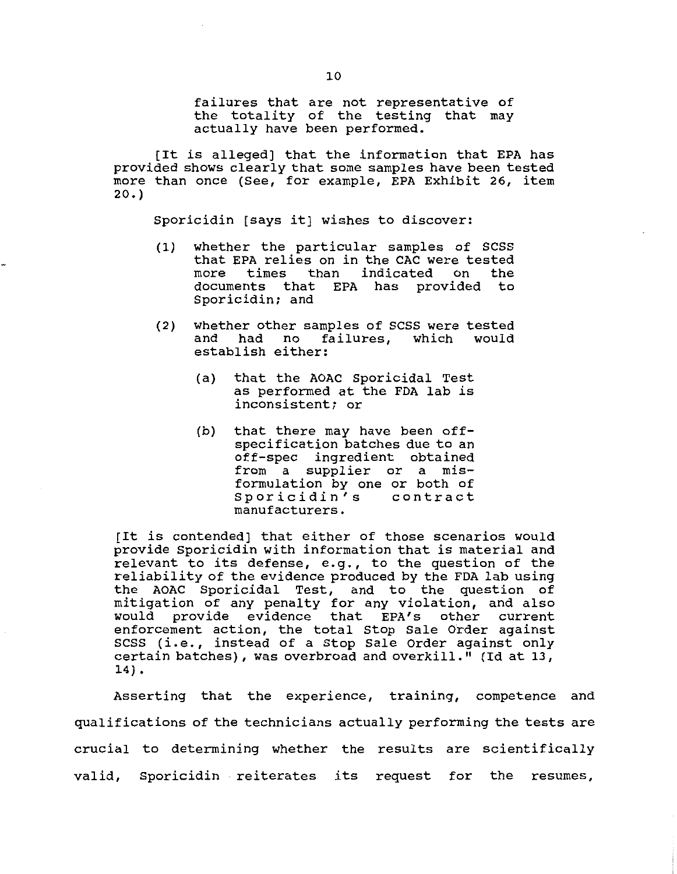failures that are not representative of the totality of the testing that may actually have been performed.

[It is alleged] that the information that EPA has provided shows clearly that some samples have been tested more than once (See, for example, EPA Exhibit 26, item 20.)

Sporicidin [says it] wishes to discover:

- (1) whether the particular samples of scss that EPA relies on in the CAC were tested<br>more times than indicated on the times than indicated documents that EPA has provided to Sporicidin; and
- (2) whether other samples of SCSS were tested<br>and had no failures, which would and had no failures, establish either:
	- (a) that the AOAC Sporicidal Test as performed at the FDA lab is inconsistent; or
	- (b) that there may have been offspecification batches due to an off-spec ingredient obtained from a supplier or a misformulation by one or both of Sporicidin's contract manufacturers.

[It is contended] that either of those scenarios would provide Sporicidin with information that is material and relevant to its defense, e.g., to the question of the reliability of the evidence produced by the FDA lab using the AOAC Sporicidal Test, and to the question of mitigation of any penalty for any violation, and also misingation of any penarty for any visiation, and also<br>would provide evidence that EPA's other current enforcement action, the total Stop Sale Order against SCSS (i.e., instead of a Stop Sale Order against only certain batches), was overbroad and overkill." (Id at 13, 14) •

Asserting that the experience, training, competence and qualifications of the technicians actually performing the tests are crucial to determining whether the results are scientifically valid, Sporicidin reiterates its request for the resumes,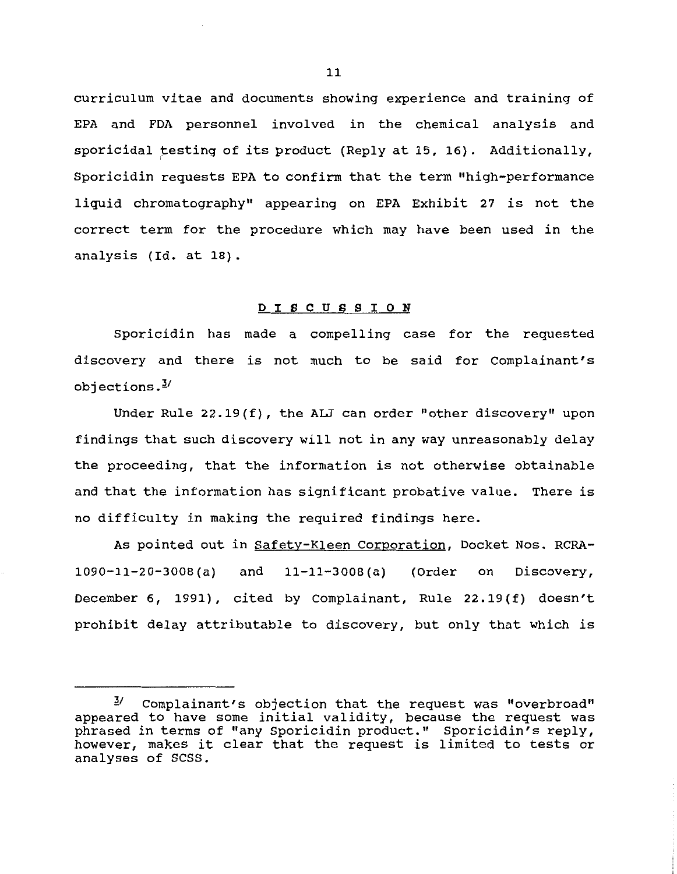curriculum vitae and documents showing experience and training of EPA and FDA personnel involved in the chemical analysis and sporicidal testing of its product (Reply at 15, 16). Additionally, Sporicidin requests EPA to confirm that the term "high-performance liquid chromatography" appearing on EPA Exhibit 27 *is* not the correct term for the procedure which may have been used in the analysis (Id. at 18).

# D I S C U S S I 0 N

Sporicidin has made a compelling case for the requested discovery and there *is* not much to be said for Complainant's objections. $\frac{3}{2}$ 

Under Rule 22.19(f), the ALJ can order "other discovery" upon findings that such discovery will not in any way unreasonably delay the proceeding, that the information *is* not otherwise obtainable and that the information has significant probative value. There *is*  no difficulty in making the required findings here.

As pointed out in Safety-Kleen Corporation, Docket Nos. RCRA-1090-11-20-3008(a) and 11-11-3008 (a) (Order on Discovery, December 6, 1991), cited by Complainant, Rule 22.19(f) doesn't prohibit delay attributable to discovery, but only that which *is* 

 $1/2$  Complainant's objection that the request was "overbroad" appeared to have some initial validity, because the request was phrased in terms of "any Sporicidin product." Sporicidin's reply, however, makes it clear that the request *is* limited to tests or analyses of scss.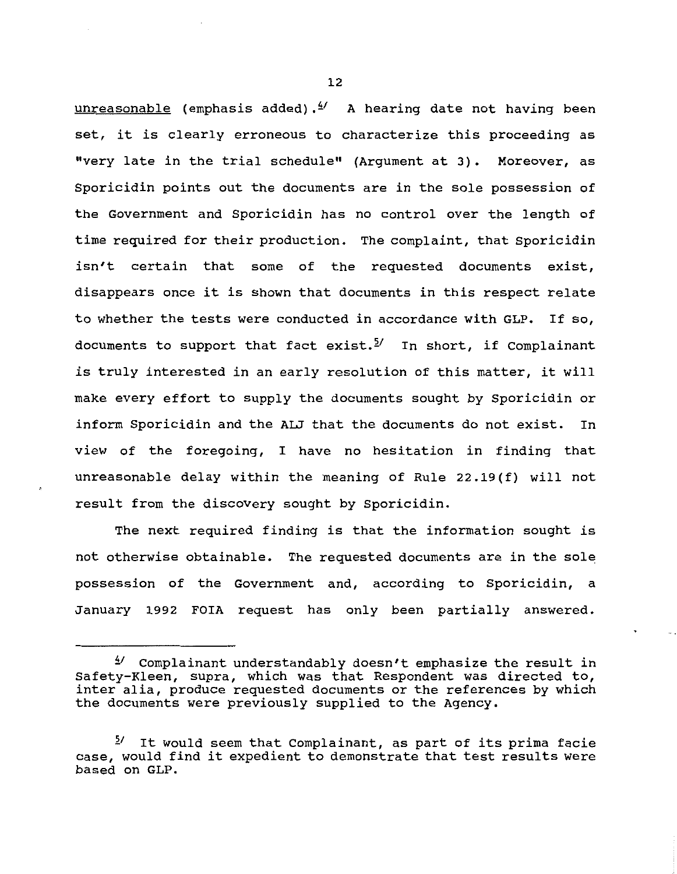$unreasonable$  (emphasis added).  $4'$  A hearing date not having been set, it is clearly erroneous to characterize this proceeding as "very late in the trial schedule" (Argument at 3). Moreover, as Sporicidin points out the documents are in the sole possession of the Government and Sporicidin has no control over the length of time required for their production. The complaint, that Sporicidin isn't certain that some of the requested documents exist, disappears once it is shown that documents in this respect relate to whether the tests were conducted in accordance with GLP. If so, documents to support that fact exist.<sup>5/</sup> In short, if Complainant is truly interested in an early resolution of this matter, it will make every effort to supply the documents sought by Sporicidin or inform Sporicidin and the ALJ that the documents do not exist. In view of the foregoing, I have no hesitation in finding that unreasonable delay within the meaning of Rule 22.19(f) will not result from the discovery sought by Sporicidin.

The next required finding is that the information sought is not otherwise obtainable. The requested documents are in the sole possession of the Government and, according to Sporicidin, a January 1992 FOIA request has only been partially answered.

 $1/2$  Complainant understandably doesn't emphasize the result in Safety-Kleen, supra, which was that Respondent was directed to, inter alia, produce requested documents or the references by which the documents were previously supplied to the Agency.

*<sup>21</sup>*It would seem that Complainant, as part of its prima facie case, would find it expedient to demonstrate that test results were based on GLP.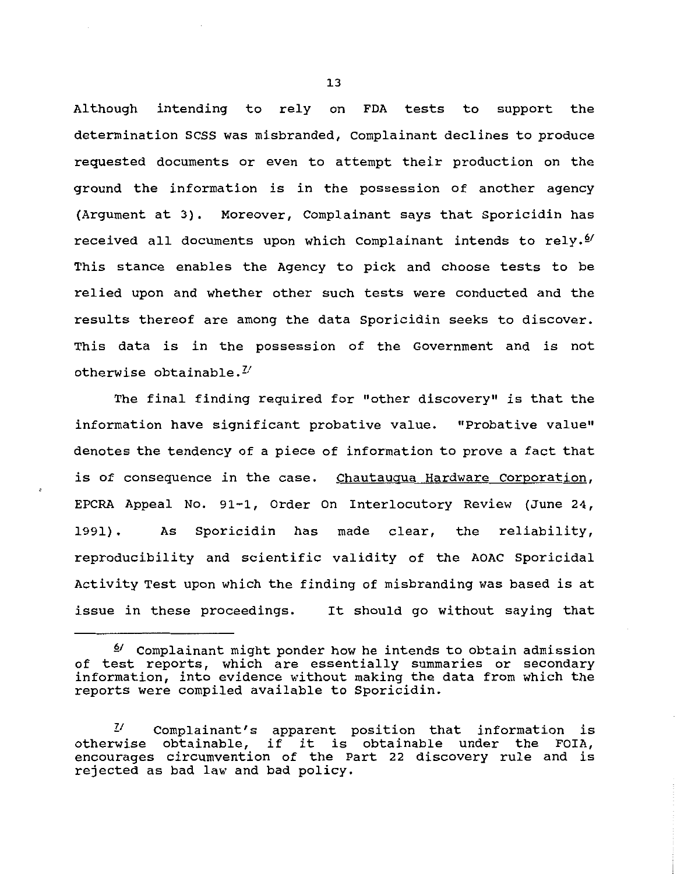Although intending to rely on FDA tests to support the determination SCSS was misbranded, Complainant declines to produce requested documents or even to attempt their production on the ground the information is in the possession of another agency (Argument at 3). Moreover, Complainant says that Sporicidin has received all documents upon which Complainant intends to rely. $\mathcal{Y}$ This stance enables the Agency to pick and choose tests to be relied upon and whether other such tests were conducted and the results thereof are among the data Sporicidin seeks to discover. This data is in the possession of the Government and is not otherwise obtainable.<sup> $U$ </sup>

The final finding required for "other discovery" is that the information have significant probative value. "Probative value" denotes the tendency of a piece of information to prove a fact that is of consequence in the case. Chautauqua Hardware Corporation, EPCRA Appeal No. 91-1, Order On Interlocutory Review (June 24, 1991). As Sporicidin has made clear, the reliability, reproducibility and scientific validity of the AOAC Sporicidal Activity Test upon which the finding of misbranding was based is at issue in these proceedings. It should go without saying that

<sup>&</sup>lt;sup>2/</sup> Complainant might ponder how he intends to obtain admission of test reports, which are essentially summaries or secondary information, into evidence without making the data from which the reports were compiled available to Sporicidin.

*Zl* Complainant's apparen~ position that information is otherwise obtainable, if it is obtainable under the FOIA, encourages circumvention of the Part 22 discovery rule and is rejected as bad law and bad policy.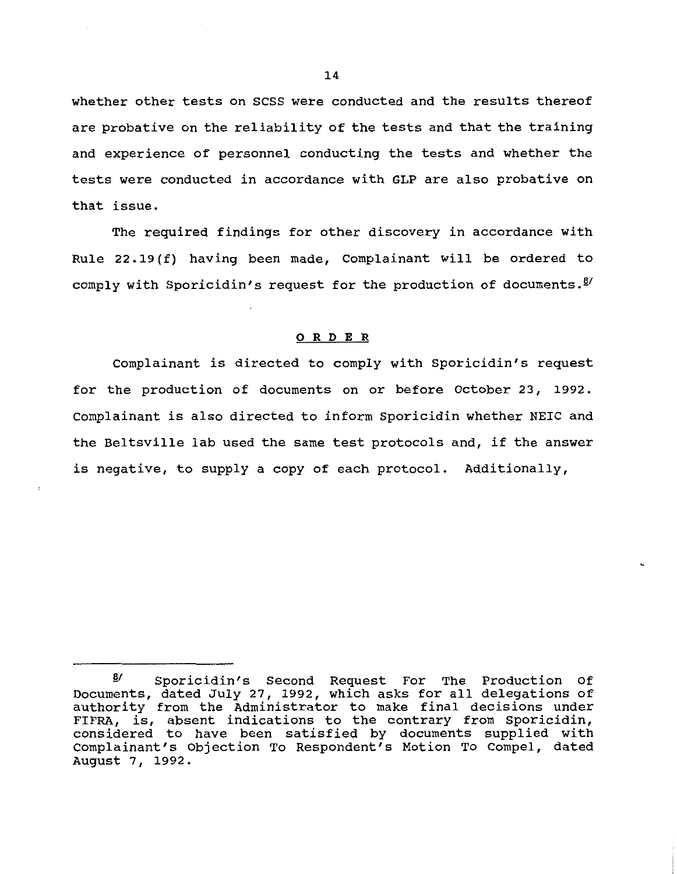whether other tests on SCSS were conducted and the results thereof are probative on the reliability of the tests and that the training and experience of personnel conducting the tests and whether the tests were conducted in accordance with GLP are also probative on that issue.

The required findings for other discovery in accordance with Rule 22.19 (f) having been made, Complainant will be ordered to comply with Sporicidin's request for the production of documents. $\frac{8}{1}$ 

### 0 R D E R

Complainant is directed to comply with Sporicidin's request for the production of documents on or before October 23, 1992. Complainant is also directed to inform Sporicidin whether NEIC and the Beltsville lab used the same test protocols and, if the answer is negative, to supply a copy of each protocol. Additionally,

 $\frac{8}{1}$  Sporicidin's Second Request For The Production Of Documents, dated July 27, 1992, which asks for all delegations of authority from the Administrator to make final decisions under FIFRA, is, absent indications to the contrary from Sporicidin, considered to have been satisfied by documents supplied with Complainant's Objection To Respondent's Motion To Compel, dated August 7, 1992.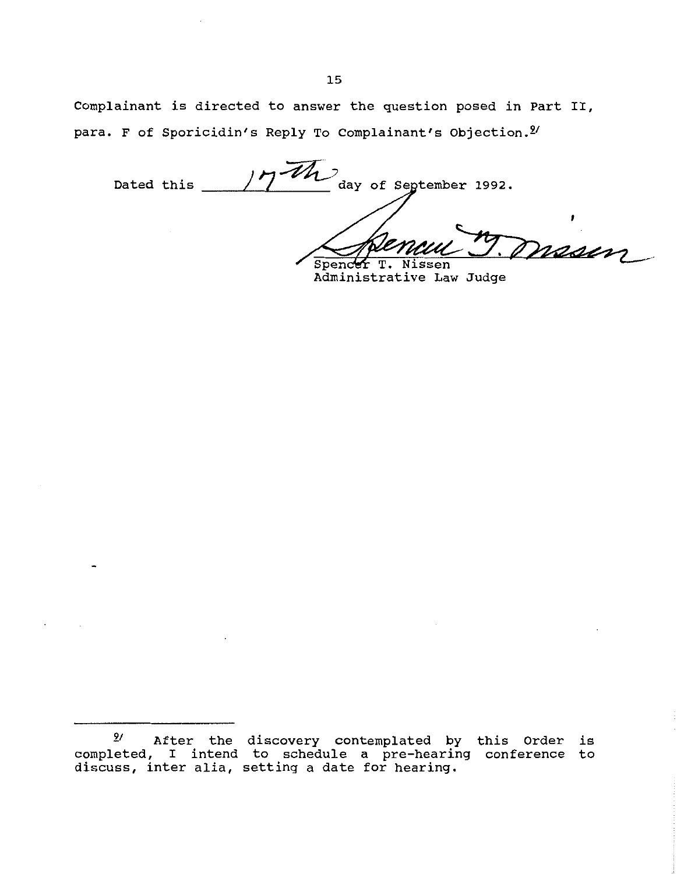Complainant is directed to answer the question posed in Part II, para. F of Sporicidin's Reply To Complainant's Objection.<sup>2/</sup>

day of September 1992. Dated this masin

**Spender**  $T_{\bullet}$ Nissen Administrative Law Judge

*<sup>2</sup>t* After the discovery contemplated by this Order is completed, I intend to schedule a pre-hearing conference to discuss, inter alia, setting a date for hearing.